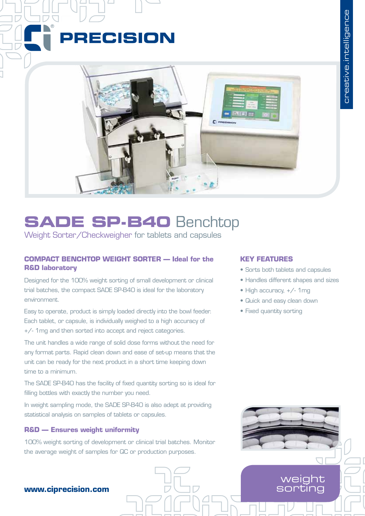



# **SADE SP-B40** Benchtop

Weight Sorter/Checkweigher for tablets and capsules

## **COMPACT BENCHTOP WEIGHT SORTER — Ideal for the R&D laboratory**

Designed for the 100% weight sorting of small development or clinical trial batches, the compact SADE SP-B40 is ideal for the laboratory environment.

Easy to operate, product is simply loaded directly into the bowl feeder. Each tablet, or capsule, is individually weighed to a high accuracy of +/- 1mg and then sorted into accept and reject categories.

The unit handles a wide range of solid dose forms without the need for any format parts. Rapid clean down and ease of set-up means that the unit can be ready for the next product in a short time keeping down time to a minimum.

The SADE SP-B40 has the facility of fixed quantity sorting so is ideal for filling bottles with exactly the number you need.

In weight sampling mode, the SADE SP-B40 is also adept at providing statistical analysis on samples of tablets or capsules.

## **R&D — Ensures weight uniformity**

100% weight sorting of development or clinical trial batches. Monitor the average weight of samples for QC or production purposes.

### **KEY FEATURES**

- Sorts both tablets and capsules
- Handles different shapes and sizes
- High accuracy, +/- 1mg
- • Quick and easy clean down
- Fixed quantity sorting



sorting

## **www.ciprecision.com**